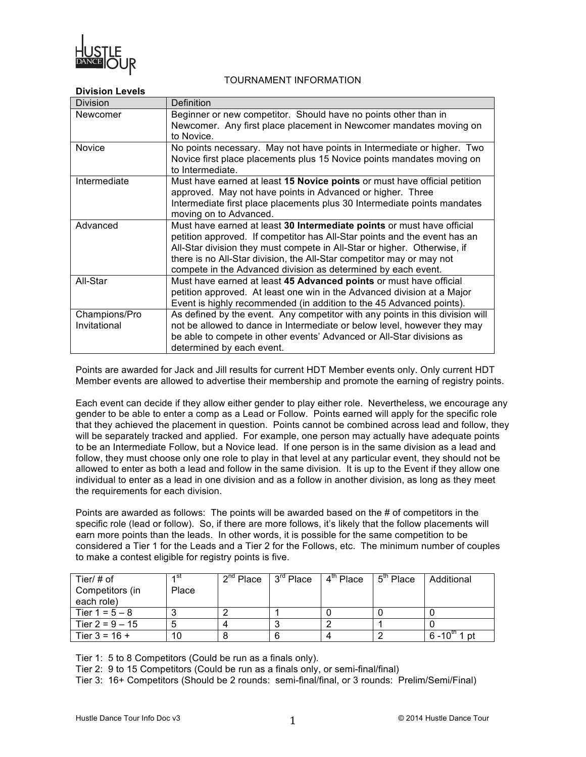

# TOURNAMENT INFORMATION

## **Division Levels**

| <b>Division</b> | <b>Definition</b>                                                             |  |  |  |  |  |
|-----------------|-------------------------------------------------------------------------------|--|--|--|--|--|
| Newcomer        | Beginner or new competitor. Should have no points other than in               |  |  |  |  |  |
|                 | Newcomer. Any first place placement in Newcomer mandates moving on            |  |  |  |  |  |
|                 | to Novice.                                                                    |  |  |  |  |  |
| <b>Novice</b>   | No points necessary. May not have points in Intermediate or higher. Two       |  |  |  |  |  |
|                 | Novice first place placements plus 15 Novice points mandates moving on        |  |  |  |  |  |
|                 | to Intermediate.                                                              |  |  |  |  |  |
| Intermediate    | Must have earned at least 15 Novice points or must have official petition     |  |  |  |  |  |
|                 | approved. May not have points in Advanced or higher. Three                    |  |  |  |  |  |
|                 | Intermediate first place placements plus 30 Intermediate points mandates      |  |  |  |  |  |
|                 | moving on to Advanced.                                                        |  |  |  |  |  |
| Advanced        | Must have earned at least 30 Intermediate points or must have official        |  |  |  |  |  |
|                 | petition approved. If competitor has All-Star points and the event has an     |  |  |  |  |  |
|                 | All-Star division they must compete in All-Star or higher. Otherwise, if      |  |  |  |  |  |
|                 | there is no All-Star division, the All-Star competitor may or may not         |  |  |  |  |  |
|                 | compete in the Advanced division as determined by each event.                 |  |  |  |  |  |
| All-Star        | Must have earned at least 45 Advanced points or must have official            |  |  |  |  |  |
|                 | petition approved. At least one win in the Advanced division at a Major       |  |  |  |  |  |
|                 | Event is highly recommended (in addition to the 45 Advanced points).          |  |  |  |  |  |
| Champions/Pro   | As defined by the event. Any competitor with any points in this division will |  |  |  |  |  |
| Invitational    | not be allowed to dance in Intermediate or below level, however they may      |  |  |  |  |  |
|                 | be able to compete in other events' Advanced or All-Star divisions as         |  |  |  |  |  |
|                 | determined by each event.                                                     |  |  |  |  |  |

Points are awarded for Jack and Jill results for current HDT Member events only. Only current HDT Member events are allowed to advertise their membership and promote the earning of registry points.

Each event can decide if they allow either gender to play either role. Nevertheless, we encourage any gender to be able to enter a comp as a Lead or Follow. Points earned will apply for the specific role that they achieved the placement in question. Points cannot be combined across lead and follow, they will be separately tracked and applied. For example, one person may actually have adequate points to be an Intermediate Follow, but a Novice lead. If one person is in the same division as a lead and follow, they must choose only one role to play in that level at any particular event, they should not be allowed to enter as both a lead and follow in the same division. It is up to the Event if they allow one individual to enter as a lead in one division and as a follow in another division, as long as they meet the requirements for each division.

Points are awarded as follows: The points will be awarded based on the # of competitors in the specific role (lead or follow). So, if there are more follows, it's likely that the follow placements will earn more points than the leads. In other words, it is possible for the same competition to be considered a Tier 1 for the Leads and a Tier 2 for the Follows, etc. The minimum number of couples to make a contest eligible for registry points is five.

| Tier/ $#$ of<br>Competitors (in<br>each role) | ⊿st<br>Place | $2nd$ Place   $3rd$ Place | $4^{\text{m}}$ Place $\phantom{1}$ 5 <sup>m</sup> Place | Additional            |
|-----------------------------------------------|--------------|---------------------------|---------------------------------------------------------|-----------------------|
| Tier $1 = 5 - 8$                              |              |                           |                                                         |                       |
| Tier 2 = $9 - 15$                             |              |                           |                                                         |                       |
| Tier $3 = 16 +$                               | 10           |                           |                                                         | 1 pt<br>$6 - 10^{11}$ |

Tier 1: 5 to 8 Competitors (Could be run as a finals only).

Tier 2: 9 to 15 Competitors (Could be run as a finals only, or semi-final/final)

Tier 3: 16+ Competitors (Should be 2 rounds: semi-final/final, or 3 rounds: Prelim/Semi/Final)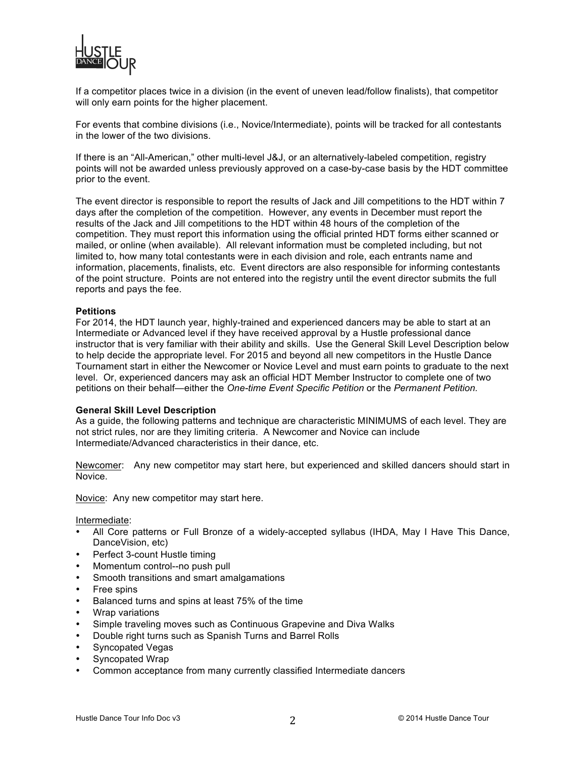

If a competitor places twice in a division (in the event of uneven lead/follow finalists), that competitor will only earn points for the higher placement.

For events that combine divisions (i.e., Novice/Intermediate), points will be tracked for all contestants in the lower of the two divisions.

If there is an "All-American," other multi-level J&J, or an alternatively-labeled competition, registry points will not be awarded unless previously approved on a case-by-case basis by the HDT committee prior to the event.

The event director is responsible to report the results of Jack and Jill competitions to the HDT within 7 days after the completion of the competition. However, any events in December must report the results of the Jack and Jill competitions to the HDT within 48 hours of the completion of the competition. They must report this information using the official printed HDT forms either scanned or mailed, or online (when available). All relevant information must be completed including, but not limited to, how many total contestants were in each division and role, each entrants name and information, placements, finalists, etc. Event directors are also responsible for informing contestants of the point structure. Points are not entered into the registry until the event director submits the full reports and pays the fee.

#### **Petitions**

For 2014, the HDT launch year, highly-trained and experienced dancers may be able to start at an Intermediate or Advanced level if they have received approval by a Hustle professional dance instructor that is very familiar with their ability and skills. Use the General Skill Level Description below to help decide the appropriate level. For 2015 and beyond all new competitors in the Hustle Dance Tournament start in either the Newcomer or Novice Level and must earn points to graduate to the next level. Or, experienced dancers may ask an official HDT Member Instructor to complete one of two petitions on their behalf—either the *One-time Event Specific Petition* or the *Permanent Petition.*

#### **General Skill Level Description**

As a guide, the following patterns and technique are characteristic MINIMUMS of each level. They are not strict rules, nor are they limiting criteria. A Newcomer and Novice can include Intermediate/Advanced characteristics in their dance, etc.

Newcomer: Any new competitor may start here, but experienced and skilled dancers should start in Novice.

Novice: Any new competitor may start here.

Intermediate:

- All Core patterns or Full Bronze of a widely-accepted syllabus (IHDA, May I Have This Dance, DanceVision, etc)
- Perfect 3-count Hustle timing
- Momentum control--no push pull
- Smooth transitions and smart amalgamations
- Free spins
- Balanced turns and spins at least 75% of the time
- Wrap variations
- Simple traveling moves such as Continuous Grapevine and Diva Walks
- Double right turns such as Spanish Turns and Barrel Rolls
- Syncopated Vegas
- Syncopated Wrap
- Common acceptance from many currently classified Intermediate dancers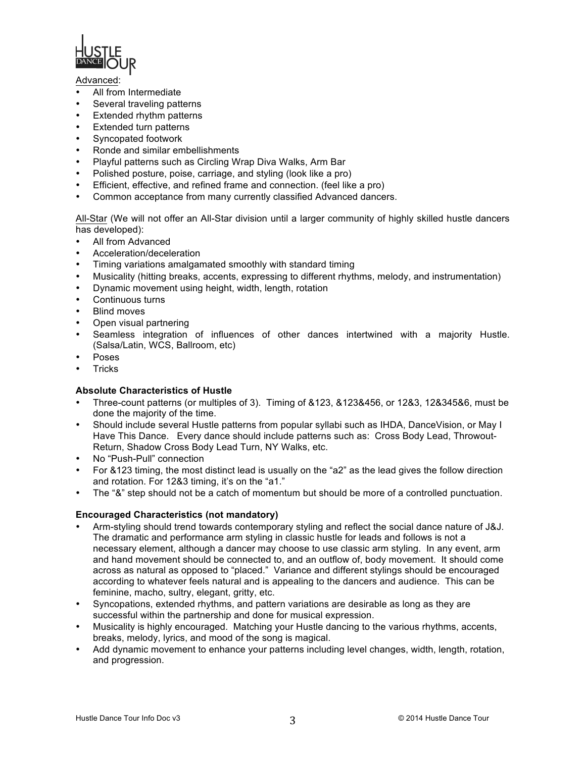

#### Advanced:

- All from Intermediate
- Several traveling patterns
- Extended rhythm patterns
- **Extended turn patterns**
- Syncopated footwork
- Ronde and similar embellishments
- Playful patterns such as Circling Wrap Diva Walks, Arm Bar
- Polished posture, poise, carriage, and styling (look like a pro)
- Efficient, effective, and refined frame and connection. (feel like a pro)
- Common acceptance from many currently classified Advanced dancers.

All-Star (We will not offer an All-Star division until a larger community of highly skilled hustle dancers has developed):

- All from Advanced
- Acceleration/deceleration
- Timing variations amalgamated smoothly with standard timing
- Musicality (hitting breaks, accents, expressing to different rhythms, melody, and instrumentation)
- Dynamic movement using height, width, length, rotation
- Continuous turns
- **Blind moves**
- Open visual partnering
- Seamless integration of influences of other dances intertwined with a majority Hustle. (Salsa/Latin, WCS, Ballroom, etc)
- Poses
- **Tricks**

# **Absolute Characteristics of Hustle**

- Three-count patterns (or multiples of 3). Timing of &123, &123&456, or 12&3, 12&345&6, must be done the majority of the time.
- Should include several Hustle patterns from popular syllabi such as IHDA, DanceVision, or May I Have This Dance. Every dance should include patterns such as: Cross Body Lead, Throwout-Return, Shadow Cross Body Lead Turn, NY Walks, etc.
- No "Push-Pull" connection
- For &123 timing, the most distinct lead is usually on the "a2" as the lead gives the follow direction and rotation. For 12&3 timing, it's on the "a1."
- The "&" step should not be a catch of momentum but should be more of a controlled punctuation.

## **Encouraged Characteristics (not mandatory)**

- Arm-styling should trend towards contemporary styling and reflect the social dance nature of J&J. The dramatic and performance arm styling in classic hustle for leads and follows is not a necessary element, although a dancer may choose to use classic arm styling. In any event, arm and hand movement should be connected to, and an outflow of, body movement. It should come across as natural as opposed to "placed." Variance and different stylings should be encouraged according to whatever feels natural and is appealing to the dancers and audience. This can be feminine, macho, sultry, elegant, gritty, etc.
- Syncopations, extended rhythms, and pattern variations are desirable as long as they are successful within the partnership and done for musical expression.
- Musicality is highly encouraged. Matching your Hustle dancing to the various rhythms, accents, breaks, melody, lyrics, and mood of the song is magical.
- Add dynamic movement to enhance your patterns including level changes, width, length, rotation, and progression.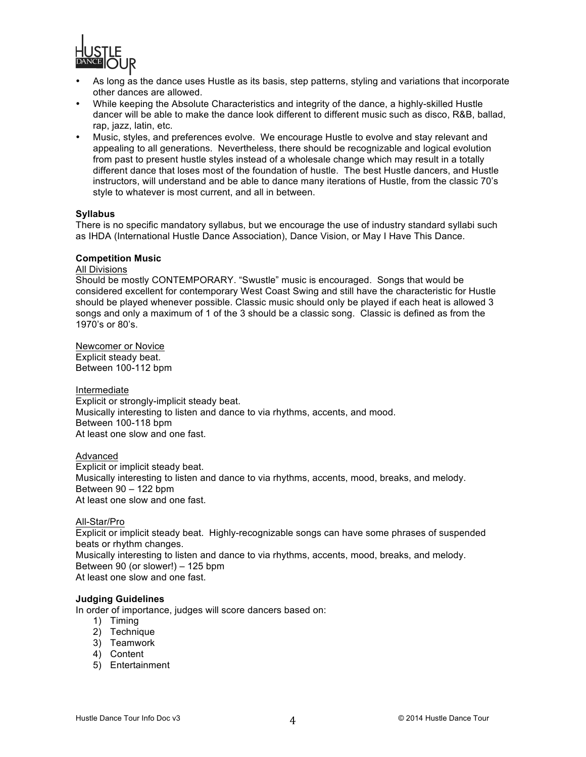

- As long as the dance uses Hustle as its basis, step patterns, styling and variations that incorporate other dances are allowed.
- While keeping the Absolute Characteristics and integrity of the dance, a highly-skilled Hustle dancer will be able to make the dance look different to different music such as disco, R&B, ballad, rap, jazz, latin, etc.
- Music, styles, and preferences evolve. We encourage Hustle to evolve and stay relevant and appealing to all generations. Nevertheless, there should be recognizable and logical evolution from past to present hustle styles instead of a wholesale change which may result in a totally different dance that loses most of the foundation of hustle. The best Hustle dancers, and Hustle instructors, will understand and be able to dance many iterations of Hustle, from the classic 70's style to whatever is most current, and all in between.

## **Syllabus**

There is no specific mandatory syllabus, but we encourage the use of industry standard syllabi such as IHDA (International Hustle Dance Association), Dance Vision, or May I Have This Dance.

#### **Competition Music**

# All Divisions

Should be mostly CONTEMPORARY. "Swustle" music is encouraged. Songs that would be considered excellent for contemporary West Coast Swing and still have the characteristic for Hustle should be played whenever possible. Classic music should only be played if each heat is allowed 3 songs and only a maximum of 1 of the 3 should be a classic song. Classic is defined as from the 1970's or 80's.

Newcomer or Novice Explicit steady beat. Between 100-112 bpm

Intermediate

Explicit or strongly-implicit steady beat. Musically interesting to listen and dance to via rhythms, accents, and mood. Between 100-118 bpm At least one slow and one fast.

## Advanced

Explicit or implicit steady beat. Musically interesting to listen and dance to via rhythms, accents, mood, breaks, and melody. Between 90 – 122 bpm At least one slow and one fast.

## All-Star/Pro

Explicit or implicit steady beat. Highly-recognizable songs can have some phrases of suspended beats or rhythm changes. Musically interesting to listen and dance to via rhythms, accents, mood, breaks, and melody. Between 90 (or slower!) – 125 bpm At least one slow and one fast.

#### **Judging Guidelines**

In order of importance, judges will score dancers based on:

- 1) Timing
- 2) Technique
- 3) Teamwork
- 4) Content
- 5) Entertainment